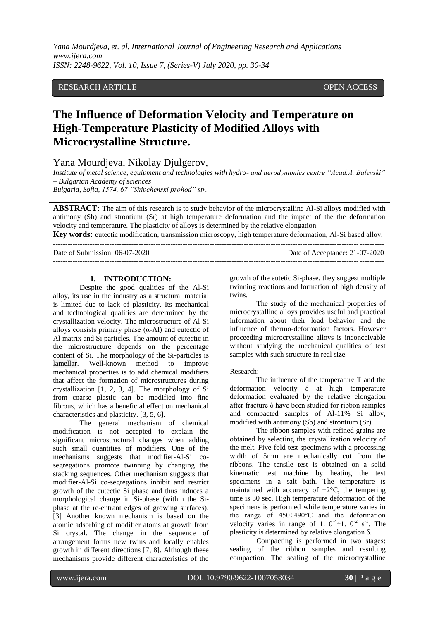*Yana Mourdjeva, et. al. International Journal of Engineering Research and Applications www.ijera.com ISSN: 2248-9622, Vol. 10, Issue 7, (Series-V) July 2020, pp. 30-34*

# RESEARCH ARTICLE **CONSERVERS** OPEN ACCESS

# **The Influence of Deformation Velocity and Temperature on High-Temperature Plasticity of Modified Alloys with Microcrystalline Structure.**

Yana Mourdjeva, Nikolay Djulgerov,

*Institute of metal science, equipment and technologies with hydro- and aerodynamics centre "Acad.A. Balevski" – Bulgarian Academy of sciences*

*Bulgaria, Sofia, 1574, 67 "Shipchenski prohod" str.*

**ABSTRACT:** The aim of this research is to study behavior of the microcrystalline Al-Si alloys modified with antimony (Sb) and strontium (Sr) at high temperature deformation and the impact of the the deformation velocity and temperature. The plasticity of alloys is determined by the relative elongation. **Key words:** eutectic modification, transmission microscopy, high temperature deformation, Al-Si based alloy.

---------------------------------------------------------------------------------------------------------------------------------------

---------------------------------------------------------------------------------------------------------------------------------------

Date of Submission: 06-07-2020 Date of Acceptance: 21-07-2020

**I. INTRODUCTION:** Despite the good qualities of the Al-Si alloy, its use in the industry as a structural material is limited due to lack of plasticity. Its mechanical and technological qualities are determined by the crystallization velocity. The microstructure of Al-Si alloys consists primary phase  $(\alpha-A)$  and eutectic of Al matrix and Si particles. The amount of eutectic in the microstructure depends on the percentage content of Si. The morphology of the Si-particles is lamellar. Well-known method to improve mechanical properties is to add chemical modifiers that affect the formation of microstructures during crystallization [1, 2, 3, 4]. The morphology of Si from coarse plastic can be modified into fine fibrous, which has a beneficial effect on mechanical characteristics and plasticity. [3, 5, 6].

The general mechanism of chemical modification is not accepted to explain the significant microstructural changes when adding such small quantities of modifiers. One of the mechanisms suggests that modifier-Al-Si cosegregations promote twinning by changing the stacking sequences. Other mechanism suggests that modifier-Al-Si co-segregations inhibit and restrict growth of the eutectic Si phase and thus induces a morphological change in Si-phase (within the Siphase at the re-entrant edges of growing surfaces). [3] Another known mechanism is based on the atomic adsorbing of modifier atoms at growth from Si crystal. The change in the sequence of arrangement forms new twins and locally enables growth in different directions [7, 8]. Although these mechanisms provide different characteristics of the growth of the eutetic Si-phase, they suggest multiple twinning reactions and formation of high density of twins.

The study of the mechanical properties of microcrystalline alloys provides useful and practical information about their load behavior and the influence of thermo-deformation factors. However proceeding microcrystalline alloys is inconceivable without studying the mechanical qualities of test samples with such structure in real size.

### Research:

The influence of the temperature T and the deformation velocity έ at high temperature deformation evaluated by the relative elongation after fracture δ have been studied for ribbon samples and compacted samples of Al-11% Si alloy, modified with antimony (Sb) and strontium (Sr).

The ribbon samples with refined grains are obtained by selecting the crystallization velocity of the melt. Five-fold test specimens with a processing width of 5mm are mechanically cut from the ribbons. The tensile test is obtained on a solid kinematic test machine by heating the test specimens in a salt bath. The temperature is maintained with accuracy of  $\pm 2^{\circ}$ C, the tempering time is 30 sec. High temperature deformation of the specimens is performed while temperature varies in the range of 450÷490°С and the deformation velocity varies in range of  $1.10^{-4}$   $\div$  1.10<sup>-2</sup> s<sup>-1</sup>. The plasticity is determined by relative elongation δ.

Compacting is performed in two stages: sealing of the ribbon samples and resulting compaction. The sealing of the microcrystalline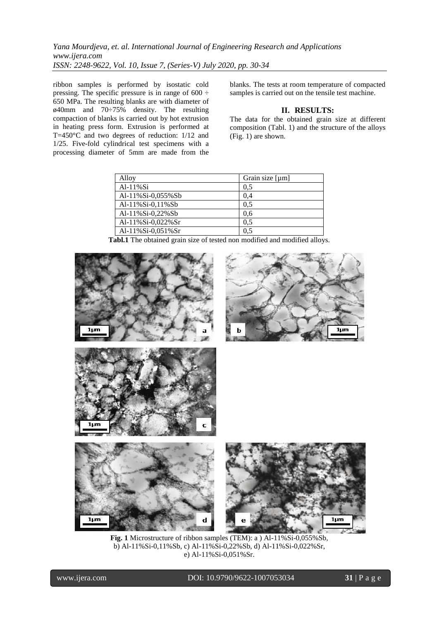*Yana Mourdjeva, et. al. International Journal of Engineering Research and Applications www.ijera.com ISSN: 2248-9622, Vol. 10, Issue 7, (Series-V) July 2020, pp. 30-34*

ribbon samples is performed by isostatic cold pressing. The specific pressure is in range of  $600 \div$ 650 MPa. The resulting blanks are with diameter of ø40mm and 70÷75% density. The resulting compaction of blanks is carried out by hot extrusion in heating press form. Extrusion is performed at T=450 $\degree$ C and two degrees of reduction: 1/12 and 1/25. Five-fold cylindrical test specimens with a processing diameter of 5mm are made from the

blanks. The tests at room temperature of compacted samples is carried out on the tensile test machine.

# **II. RESULTS:**

The data for the obtained grain size at different composition (Tabl. 1) and the structure of the alloys (Fig. 1) are shown.

| Alloy             | Grain size [µm] |
|-------------------|-----------------|
| $Al-11\%Si$       | 0.5             |
| Al-11%Si-0,055%Sb | 0,4             |
| Al-11%Si-0,11%Sb  | 0.5             |
| Al-11%Si-0,22%Sb  | 0.6             |
| Al-11%Si-0,022%Sr | 0.5             |
| Al-11%Si-0,051%Sr | 0.5             |

**Tabl.1** The obtained grain size of tested non modified and modified alloys.



**Fig. 1** Microstructure of ribbon samples (TEM): a ) Al-11%Si-0,055%Sb, b) Al-11%Si-0,11%Sb, c) Al-11%Si-0,22%Sb, d) Al-11%Si-0,022%Sr, e) Al-11%Si-0,051%Sr.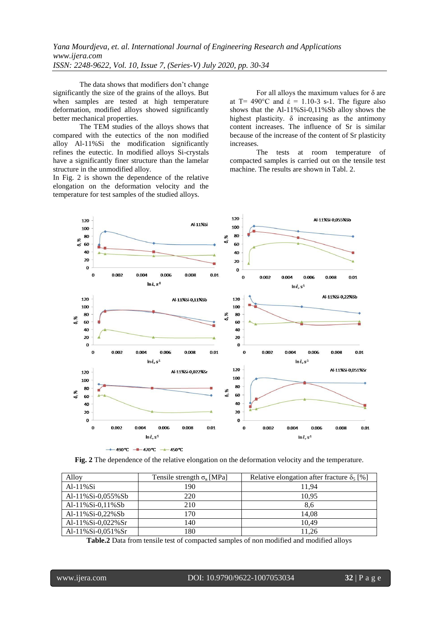*Yana Mourdjeva, et. al. International Journal of Engineering Research and Applications www.ijera.com ISSN: 2248-9622, Vol. 10, Issue 7, (Series-V) July 2020, pp. 30-34*

The data shows that modifiers don't change significantly the size of the grains of the alloys. But when samples are tested at high temperature deformation, modified alloys showed significantly better mechanical properties.

The TEM studies of the alloys shows that compared with the eutectics of the non modified alloy Al-11%Si the modification significantly refines the eutectic. In modified alloys Si-crystals have a significantly finer structure than the lamelar structure in the unmodified alloy.

In Fig. 2 is shown the dependence of the relative elongation on the deformation velocity and the temperature for test samples of the studied alloys.

For all alloys the maximum values for  $\delta$  are at T= 490 $^{\circ}$ C and  $\acute{\epsilon}$  = 1.10-3 s-1. The figure also shows that the Al-11%Si-0,11%Sb alloy shows the highest plasticity.  $\delta$  increasing as the antimony content increases. The influence of Sr is similar because of the increase of the content of Sr plasticity increases.

The tests at room temperature of compacted samples is carried out on the tensile test machine. The results are shown in Tabl. 2.



**Fig. 2** The dependence of the relative elongation on the deformation velocity and the temperature.

| Alloy                  | Tensile strength $\sigma_{B}$ [MPa] | Relative elongation after fracture $\delta_5$ [%] |
|------------------------|-------------------------------------|---------------------------------------------------|
| $Al-11\%Si$            | 190                                 | 11.94                                             |
| Al-11%Si-0,055%Sb      | 220                                 | 10.95                                             |
| Al-11%Si-0,11%Sb       | 210                                 | 8.6                                               |
| Al-11%Si-0,22%Sb       | 170                                 | 14.08                                             |
| Al- $11\%$ Si-0,022%Sr | 140                                 | 10.49                                             |
| Al- $11\%$ Si-0,051%Sr | 180                                 | 11.26                                             |

**Table.2** Data from tensile test of compacted samples of non modified and modified alloys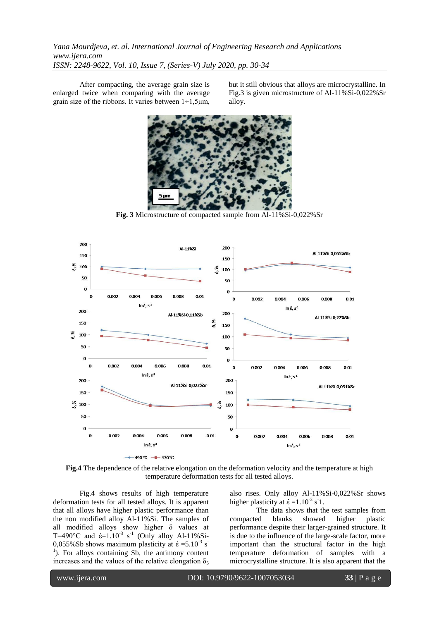After compacting, the average grain size is enlarged twice when comparing with the average grain size of the ribbons. It varies between  $1\div 1.5$ μm,

but it still obvious that alloys are microcrystalline. In Fig.3 is given microstructure of Al-11%Si-0,022%Sr alloy.



**Fig. 3** Microstructure of compacted sample from Al-11%Si-0,022%Sr



**Fig.4** The dependence of the relative elongation on the deformation velocity and the temperature at high temperature deformation tests for all tested alloys.

Fig.4 shows results of high temperature deformation tests for all tested alloys. It is apparent that all alloys have higher plastic performance than the non modified alloy Al-11%Si. The samples of all modified alloys show higher δ values at T=490°C and  $\acute{\epsilon}$ =1.10<sup>-3</sup> s<sup>-1</sup> (Only alloy Al-11%Si-0,055%Sb shows maximum plasticity at  $\epsilon = 5.10^{-3}$  s<sup>-1</sup> <sup>1</sup>). For alloys containing Sb, the antimony content increases and the values of the relative elongation  $\delta_5$ 

also rises. Only alloy Al-11%Si-0,022%Sr shows higher plasticity at  $\acute{\epsilon}$  =1.10<sup>-3</sup> s<sup>-</sup>1.

The data shows that the test samples from compacted blanks showed higher plastic performance despite their larger-grained structure. It is due to the influence of the large-scale factor, more important than the structural factor in the high temperature deformation of samples with a microcrystalline structure. It is also apparent that the